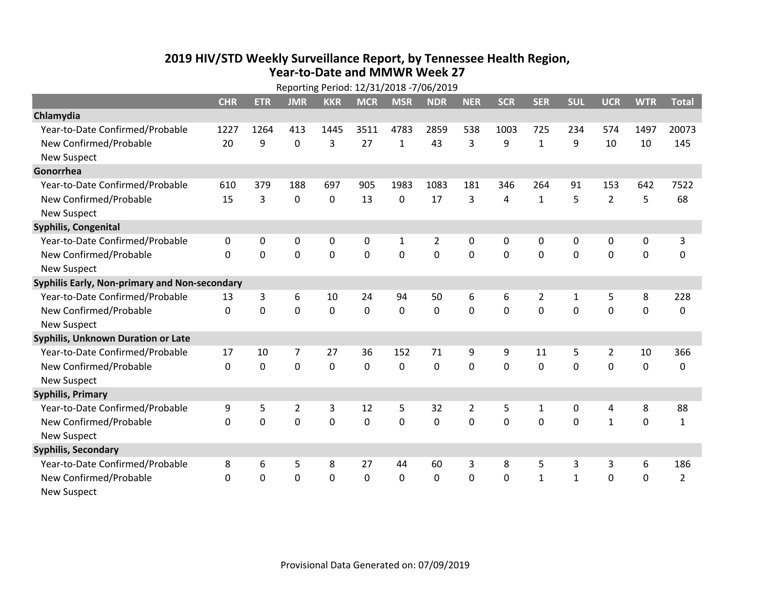## **2019 HIV /STD Weekly Surveillance Report, by Tennessee Health Region, Year‐to‐Date and MMWR Week 27**

|                                               | Reporting Period: 12/31/2018 -7/06/2019 |             |                |             |            |             |                |                |              |                |              |                |             |                |
|-----------------------------------------------|-----------------------------------------|-------------|----------------|-------------|------------|-------------|----------------|----------------|--------------|----------------|--------------|----------------|-------------|----------------|
|                                               | <b>CHR</b>                              | <b>ETR</b>  | <b>JMR</b>     | <b>KKR</b>  | <b>MCR</b> | <b>MSR</b>  | <b>NDR</b>     | <b>NER</b>     | <b>SCR</b>   | <b>SER</b>     | <b>SUL</b>   | <b>UCR</b>     | <b>WTR</b>  | <b>Total</b>   |
| Chlamydia                                     |                                         |             |                |             |            |             |                |                |              |                |              |                |             |                |
| Year-to-Date Confirmed/Probable               | 1227                                    | 1264        | 413            | 1445        | 3511       | 4783        | 2859           | 538            | 1003         | 725            | 234          | 574            | 1497        | 20073          |
| New Confirmed/Probable                        | 20                                      | 9           | 0              | 3           | 27         | 1           | 43             | 3              | 9            | $\mathbf{1}$   | 9            | 10             | 10          | 145            |
| <b>New Suspect</b>                            |                                         |             |                |             |            |             |                |                |              |                |              |                |             |                |
| Gonorrhea                                     |                                         |             |                |             |            |             |                |                |              |                |              |                |             |                |
| Year-to-Date Confirmed/Probable               | 610                                     | 379         | 188            | 697         | 905        | 1983        | 1083           | 181            | 346          | 264            | 91           | 153            | 642         | 7522           |
| New Confirmed/Probable                        | 15                                      | 3           | $\Omega$       | 0           | 13         | 0           | 17             | 3              | 4            | $\mathbf{1}$   | 5            | $\overline{2}$ | 5           | 68             |
| <b>New Suspect</b>                            |                                         |             |                |             |            |             |                |                |              |                |              |                |             |                |
| <b>Syphilis, Congenital</b>                   |                                         |             |                |             |            |             |                |                |              |                |              |                |             |                |
| Year-to-Date Confirmed/Probable               | 0                                       | 0           | 0              | 0           | 0          | 1           | $\overline{2}$ | 0              | 0            | 0              | 0            | 0              | 0           | 3              |
| New Confirmed/Probable                        | 0                                       | 0           | $\Omega$       | 0           | 0          | $\mathbf 0$ | 0              | $\Omega$       | $\mathbf{0}$ | 0              | $\mathbf{0}$ | 0              | 0           | 0              |
| <b>New Suspect</b>                            |                                         |             |                |             |            |             |                |                |              |                |              |                |             |                |
| Syphilis Early, Non-primary and Non-secondary |                                         |             |                |             |            |             |                |                |              |                |              |                |             |                |
| Year-to-Date Confirmed/Probable               | 13                                      | 3           | 6              | 10          | 24         | 94          | 50             | 6              | 6            | $\overline{2}$ | $\mathbf{1}$ | 5              | 8           | 228            |
| New Confirmed/Probable                        | 0                                       | 0           | $\mathbf 0$    | 0           | 0          | 0           | 0              | 0              | 0            | 0              | $\mathbf 0$  | 0              | $\mathbf 0$ | 0              |
| <b>New Suspect</b>                            |                                         |             |                |             |            |             |                |                |              |                |              |                |             |                |
| Syphilis, Unknown Duration or Late            |                                         |             |                |             |            |             |                |                |              |                |              |                |             |                |
| Year-to-Date Confirmed/Probable               | 17                                      | 10          | $\overline{7}$ | 27          | 36         | 152         | 71             | 9              | 9            | 11             | 5            | $\overline{2}$ | 10          | 366            |
| New Confirmed/Probable                        | 0                                       | $\mathbf 0$ | $\mathbf 0$    | $\mathbf 0$ | 0          | $\mathbf 0$ | $\mathbf 0$    | 0              | 0            | $\mathbf 0$    | $\mathbf 0$  | $\mathbf 0$    | $\mathbf 0$ | 0              |
| <b>New Suspect</b>                            |                                         |             |                |             |            |             |                |                |              |                |              |                |             |                |
| <b>Syphilis, Primary</b>                      |                                         |             |                |             |            |             |                |                |              |                |              |                |             |                |
| Year-to-Date Confirmed/Probable               | 9                                       | 5           | $\overline{2}$ | 3           | 12         | 5           | 32             | $\overline{2}$ | 5            | $\mathbf{1}$   | 0            | 4              | 8           | 88             |
| New Confirmed/Probable                        | 0                                       | $\mathbf 0$ | $\overline{0}$ | 0           | 0          | 0           | $\mathbf 0$    | 0              | 0            | $\mathbf 0$    | $\mathbf 0$  | $\mathbf{1}$   | $\mathbf 0$ | $\mathbf{1}$   |
| <b>New Suspect</b>                            |                                         |             |                |             |            |             |                |                |              |                |              |                |             |                |
| <b>Syphilis, Secondary</b>                    |                                         |             |                |             |            |             |                |                |              |                |              |                |             |                |
| Year-to-Date Confirmed/Probable               | 8                                       | 6           | 5              | 8           | 27         | 44          | 60             | 3              | 8            | 5              | 3            | 3              | 6           | 186            |
| New Confirmed/Probable                        | $\Omega$                                | $\mathbf 0$ | $\Omega$       | 0           | 0          | 0           | 0              | $\Omega$       | $\Omega$     | $\mathbf{1}$   | $\mathbf{1}$ | 0              | $\mathbf 0$ | $\overline{2}$ |
| <b>New Suspect</b>                            |                                         |             |                |             |            |             |                |                |              |                |              |                |             |                |